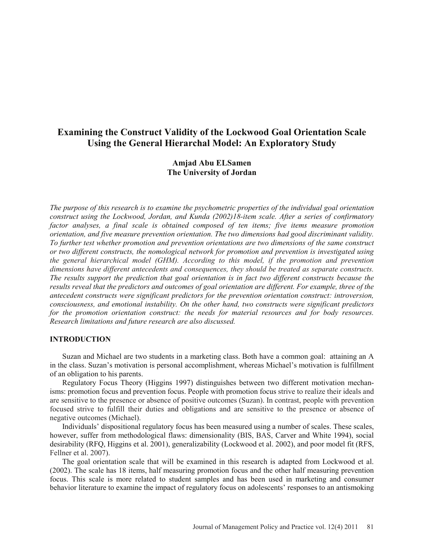# **Examining the Construct Validity of the Lockwood Goal Orientation Scale Using the General Hierarchal Model: An Exploratory Study**

# **Amjad Abu ELSamen The University of Jordan**

*The purpose of this research is to examine the psychometric properties of the individual goal orientation construct using the Lockwood, Jordan, and Kunda (2002)18-item scale. After a series of confirmatory factor analyses, a final scale is obtained composed of ten items; five items measure promotion orientation, and five measure prevention orientation. The two dimensions had good discriminant validity. To further test whether promotion and prevention orientations are two dimensions of the same construct or two different constructs, the nomological network for promotion and prevention is investigated using the general hierarchical model (GHM). According to this model, if the promotion and prevention dimensions have different antecedents and consequences, they should be treated as separate constructs. The results support the prediction that goal orientation is in fact two different constructs because the results reveal that the predictors and outcomes of goal orientation are different. For example, three of the antecedent constructs were significant predictors for the prevention orientation construct: introversion, consciousness, and emotional instability. On the other hand, two constructs were significant predictors for the promotion orientation construct: the needs for material resources and for body resources. Research limitations and future research are also discussed.* 

# **INTRODUCTION**

 Suzan and Michael are two students in a marketing class. Both have a common goal: attaining an A in the class. Suzan's motivation is personal accomplishment, whereas Michael's motivation is fulfillment of an obligation to his parents.

 Regulatory Focus Theory (Higgins 1997) distinguishes between two different motivation mechanisms: promotion focus and prevention focus. People with promotion focus strive to realize their ideals and are sensitive to the presence or absence of positive outcomes (Suzan). In contrast, people with prevention focused strive to fulfill their duties and obligations and are sensitive to the presence or absence of negative outcomes (Michael).

 Individuals' dispositional regulatory focus has been measured using a number of scales. These scales, however, suffer from methodological flaws: dimensionality (BIS, BAS, Carver and White 1994), social desirability (RFQ, Higgins et al. 2001), generalizability (Lockwood et al. 2002), and poor model fit (RFS, Fellner et al. 2007).

 The goal orientation scale that will be examined in this research is adapted from Lockwood et al. (2002). The scale has 18 items, half measuring promotion focus and the other half measuring prevention focus. This scale is more related to student samples and has been used in marketing and consumer behavior literature to examine the impact of regulatory focus on adolescents' responses to an antismoking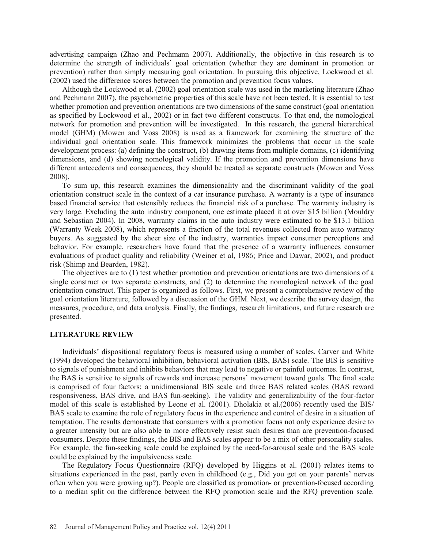advertising campaign (Zhao and Pechmann 2007). Additionally, the objective in this research is to determine the strength of individuals' goal orientation (whether they are dominant in promotion or prevention) rather than simply measuring goal orientation. In pursuing this objective, Lockwood et al. (2002) used the difference scores between the promotion and prevention focus values.

 Although the Lockwood et al. (2002) goal orientation scale was used in the marketing literature (Zhao and Pechmann 2007), the psychometric properties of this scale have not been tested. It is essential to test whether promotion and prevention orientations are two dimensions of the same construct (goal orientation as specified by Lockwood et al., 2002) or in fact two different constructs. To that end, the nomological network for promotion and prevention will be investigated. In this research, the general hierarchical model (GHM) (Mowen and Voss 2008) is used as a framework for examining the structure of the individual goal orientation scale. This framework minimizes the problems that occur in the scale development process: (a) defining the construct, (b) drawing items from multiple domains, (c) identifying dimensions, and (d) showing nomological validity. If the promotion and prevention dimensions have different antecedents and consequences, they should be treated as separate constructs (Mowen and Voss 2008).

 To sum up, this research examines the dimensionality and the discriminant validity of the goal orientation construct scale in the context of a car insurance purchase. A warranty is a type of insurance based financial service that ostensibly reduces the financial risk of a purchase. The warranty industry is very large. Excluding the auto industry component, one estimate placed it at over \$15 billion (Mouldry and Sebastian 2004). In 2008, warranty claims in the auto industry were estimated to be \$13.1 billion (Warranty Week 2008), which represents a fraction of the total revenues collected from auto warranty buyers. As suggested by the sheer size of the industry, warranties impact consumer perceptions and behavior. For example, researchers have found that the presence of a warranty influences consumer evaluations of product quality and reliability (Weiner et al, 1986; Price and Dawar, 2002), and product risk (Shimp and Bearden, 1982).

 The objectives are to (1) test whether promotion and prevention orientations are two dimensions of a single construct or two separate constructs, and (2) to determine the nomological network of the goal orientation construct. This paper is organized as follows. First, we present a comprehensive review of the goal orientation literature, followed by a discussion of the GHM. Next, we describe the survey design, the measures, procedure, and data analysis. Finally, the findings, research limitations, and future research are presented.

#### **LITERATURE REVIEW**

 Individuals' dispositional regulatory focus is measured using a number of scales. Carver and White (1994) developed the behavioral inhibition, behavioral activation (BIS, BAS) scale. The BIS is sensitive to signals of punishment and inhibits behaviors that may lead to negative or painful outcomes. In contrast, the BAS is sensitive to signals of rewards and increase persons' movement toward goals. The final scale is comprised of four factors: a unidimensional BIS scale and three BAS related scales (BAS reward responsiveness, BAS drive, and BAS fun-seeking). The validity and generalizability of the four-factor model of this scale is established by Leone et al. (2001). Dholakia et al.(2006) recently used the BIS/ BAS scale to examine the role of regulatory focus in the experience and control of desire in a situation of temptation. The results demonstrate that consumers with a promotion focus not only experience desire to a greater intensity but are also able to more effectively resist such desires than are prevention-focused consumers. Despite these findings, the BIS and BAS scales appear to be a mix of other personality scales. For example, the fun-seeking scale could be explained by the need-for-arousal scale and the BAS scale could be explained by the impulsiveness scale.

 The Regulatory Focus Questionnaire (RFQ) developed by Higgins et al. (2001) relates items to situations experienced in the past, partly even in childhood (e.g., Did you get on your parents' nerves often when you were growing up?). People are classified as promotion- or prevention-focused according to a median split on the difference between the RFQ promotion scale and the RFQ prevention scale.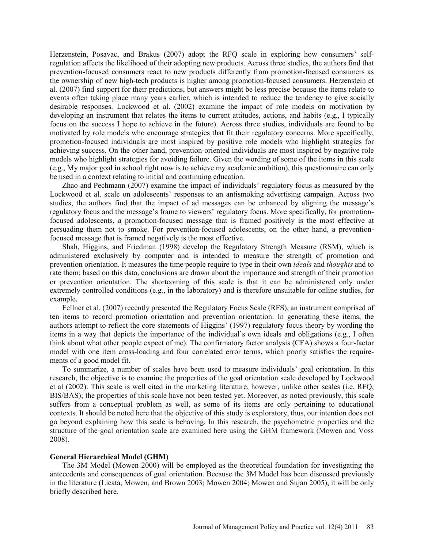Herzenstein, Posavac, and Brakus (2007) adopt the RFQ scale in exploring how consumers' selfregulation affects the likelihood of their adopting new products. Across three studies, the authors find that prevention-focused consumers react to new products differently from promotion-focused consumers as the ownership of new high-tech products is higher among promotion-focused consumers. Herzenstein et al. (2007) find support for their predictions, but answers might be less precise because the items relate to events often taking place many years earlier, which is intended to reduce the tendency to give socially desirable responses. Lockwood et al. (2002) examine the impact of role models on motivation by developing an instrument that relates the items to current attitudes, actions, and habits (e.g., I typically focus on the success I hope to achieve in the future). Across three studies, individuals are found to be motivated by role models who encourage strategies that fit their regulatory concerns. More specifically, promotion-focused individuals are most inspired by positive role models who highlight strategies for achieving success. On the other hand, prevention-oriented individuals are most inspired by negative role models who highlight strategies for avoiding failure. Given the wording of some of the items in this scale (e.g., My major goal in school right now is to achieve my academic ambition), this questionnaire can only be used in a context relating to initial and continuing education.

 Zhao and Pechmann (2007) examine the impact of individuals' regulatory focus as measured by the Lockwood et al. scale on adolescents' responses to an antismoking advertising campaign. Across two studies, the authors find that the impact of ad messages can be enhanced by aligning the message's regulatory focus and the message's frame to viewers' regulatory focus. More specifically, for promotionfocused adolescents, a promotion-focused message that is framed positively is the most effective at persuading them not to smoke. For prevention-focused adolescents, on the other hand, a preventionfocused message that is framed negatively is the most effective.

 Shah, Higgins, and Friedman (1998) develop the Regulatory Strength Measure (RSM), which is administered exclusively by computer and is intended to measure the strength of promotion and prevention orientation. It measures the time people require to type in their own *ideals* and *thoughts* and to rate them; based on this data, conclusions are drawn about the importance and strength of their promotion or prevention orientation. The shortcoming of this scale is that it can be administered only under extremely controlled conditions (e.g., in the laboratory) and is therefore unsuitable for online studies, for example.

 Fellner et al. (2007) recently presented the Regulatory Focus Scale (RFS), an instrument comprised of ten items to record promotion orientation and prevention orientation. In generating these items, the authors attempt to reflect the core statements of Higgins' (1997) regulatory focus theory by wording the items in a way that depicts the importance of the individual's own ideals and obligations (e.g., I often think about what other people expect of me). The confirmatory factor analysis (CFA) shows a four-factor model with one item cross-loading and four correlated error terms, which poorly satisfies the requirements of a good model fit.

 To summarize, a number of scales have been used to measure individuals' goal orientation. In this research, the objective is to examine the properties of the goal orientation scale developed by Lockwood et al (2002). This scale is well cited in the marketing literature, however, unlike other scales (i.e. RFQ, BIS/BAS); the properties of this scale have not been tested yet. Moreover, as noted previously, this scale suffers from a conceptual problem as well, as some of its items are only pertaining to educational contexts. It should be noted here that the objective of this study is exploratory, thus, our intention does not go beyond explaining how this scale is behaving. In this research, the psychometric properties and the structure of the goal orientation scale are examined here using the GHM framework (Mowen and Voss 2008).

#### **General Hierarchical Model (GHM)**

 The 3M Model (Mowen 2000) will be employed as the theoretical foundation for investigating the antecedents and consequences of goal orientation. Because the 3M Model has been discussed previously in the literature (Licata, Mowen, and Brown 2003; Mowen 2004; Mowen and Sujan 2005), it will be only briefly described here.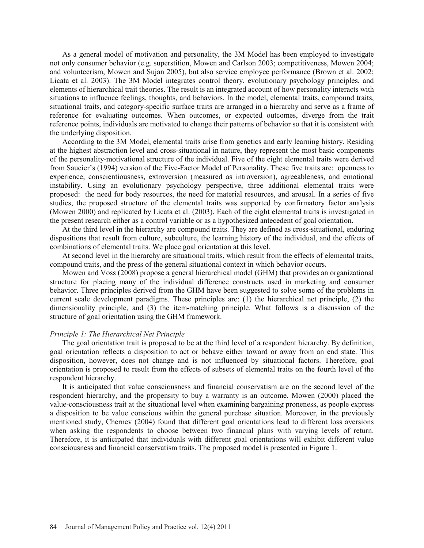As a general model of motivation and personality, the 3M Model has been employed to investigate not only consumer behavior (e.g. superstition, Mowen and Carlson 2003; competitiveness, Mowen 2004; and volunteerism, Mowen and Sujan 2005), but also service employee performance (Brown et al. 2002; Licata et al. 2003). The 3M Model integrates control theory, evolutionary psychology principles, and elements of hierarchical trait theories. The result is an integrated account of how personality interacts with situations to influence feelings, thoughts, and behaviors. In the model, elemental traits, compound traits, situational traits, and category-specific surface traits are arranged in a hierarchy and serve as a frame of reference for evaluating outcomes. When outcomes, or expected outcomes, diverge from the trait reference points, individuals are motivated to change their patterns of behavior so that it is consistent with the underlying disposition.

 According to the 3M Model, elemental traits arise from genetics and early learning history. Residing at the highest abstraction level and cross-situational in nature, they represent the most basic components of the personality-motivational structure of the individual. Five of the eight elemental traits were derived from Saucier's (1994) version of the Five-Factor Model of Personality. These five traits are: openness to experience, conscientiousness, extroversion (measured as introversion), agreeableness, and emotional instability. Using an evolutionary psychology perspective, three additional elemental traits were proposed: the need for body resources, the need for material resources, and arousal. In a series of five studies, the proposed structure of the elemental traits was supported by confirmatory factor analysis (Mowen 2000) and replicated by Licata et al. (2003). Each of the eight elemental traits is investigated in the present research either as a control variable or as a hypothesized antecedent of goal orientation.

 At the third level in the hierarchy are compound traits. They are defined as cross-situational, enduring dispositions that result from culture, subculture, the learning history of the individual, and the effects of combinations of elemental traits. We place goal orientation at this level.

 At second level in the hierarchy are situational traits, which result from the effects of elemental traits, compound traits, and the press of the general situational context in which behavior occurs.

 Mowen and Voss (2008) propose a general hierarchical model (GHM) that provides an organizational structure for placing many of the individual difference constructs used in marketing and consumer behavior. Three principles derived from the GHM have been suggested to solve some of the problems in current scale development paradigms. These principles are: (1) the hierarchical net principle, (2) the dimensionality principle, and (3) the item-matching principle. What follows is a discussion of the structure of goal orientation using the GHM framework.

#### *Principle 1: The Hierarchical Net Principle*

 The goal orientation trait is proposed to be at the third level of a respondent hierarchy. By definition, goal orientation reflects a disposition to act or behave either toward or away from an end state. This disposition, however, does not change and is not influenced by situational factors. Therefore, goal orientation is proposed to result from the effects of subsets of elemental traits on the fourth level of the respondent hierarchy.

 It is anticipated that value consciousness and financial conservatism are on the second level of the respondent hierarchy, and the propensity to buy a warranty is an outcome. Mowen (2000) placed the value-consciousness trait at the situational level when examining bargaining proneness, as people express a disposition to be value conscious within the general purchase situation. Moreover, in the previously mentioned study, Chernev (2004) found that different goal orientations lead to different loss aversions when asking the respondents to choose between two financial plans with varying levels of return. Therefore, it is anticipated that individuals with different goal orientations will exhibit different value consciousness and financial conservatism traits. The proposed model is presented in Figure 1.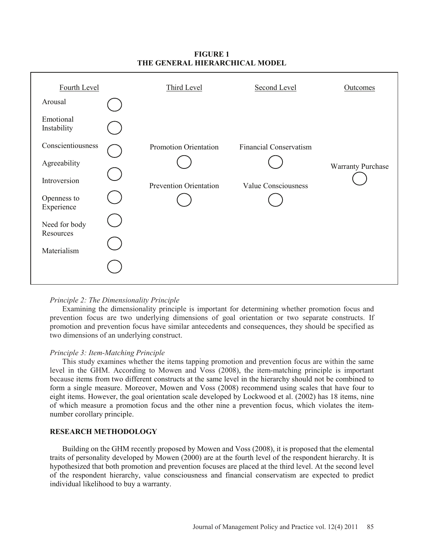# **FIGURE 1 THE GENERAL HIERARCHICAL MODEL**



### *Principle 2: The Dimensionality Principle*

 Examining the dimensionality principle is important for determining whether promotion focus and prevention focus are two underlying dimensions of goal orientation or two separate constructs. If promotion and prevention focus have similar antecedents and consequences, they should be specified as two dimensions of an underlying construct.

### *Principle 3: Item-Matching Principle*

 This study examines whether the items tapping promotion and prevention focus are within the same level in the GHM. According to Mowen and Voss (2008), the item-matching principle is important because items from two different constructs at the same level in the hierarchy should not be combined to form a single measure. Moreover, Mowen and Voss (2008) recommend using scales that have four to eight items. However, the goal orientation scale developed by Lockwood et al. (2002) has 18 items, nine of which measure a promotion focus and the other nine a prevention focus, which violates the itemnumber corollary principle.

# **RESEARCH METHODOLOGY**

 Building on the GHM recently proposed by Mowen and Voss (2008), it is proposed that the elemental traits of personality developed by Mowen (2000) are at the fourth level of the respondent hierarchy. It is hypothesized that both promotion and prevention focuses are placed at the third level. At the second level of the respondent hierarchy, value consciousness and financial conservatism are expected to predict individual likelihood to buy a warranty.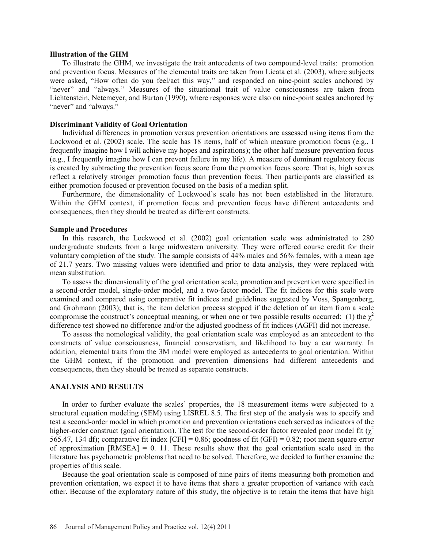### **Illustration of the GHM**

 To illustrate the GHM, we investigate the trait antecedents of two compound-level traits: promotion and prevention focus. Measures of the elemental traits are taken from Licata et al. (2003), where subjects were asked, "How often do you feel/act this way," and responded on nine-point scales anchored by "never" and "always." Measures of the situational trait of value consciousness are taken from Lichtenstein, Netemeyer, and Burton (1990), where responses were also on nine-point scales anchored by "never" and "always."

#### **Discriminant Validity of Goal Orientation**

 Individual differences in promotion versus prevention orientations are assessed using items from the Lockwood et al. (2002) scale. The scale has 18 items, half of which measure promotion focus (e.g., I frequently imagine how I will achieve my hopes and aspirations); the other half measure prevention focus (e.g., I frequently imagine how I can prevent failure in my life). A measure of dominant regulatory focus is created by subtracting the prevention focus score from the promotion focus score. That is, high scores reflect a relatively stronger promotion focus than prevention focus. Then participants are classified as either promotion focused or prevention focused on the basis of a median split.

 Furthermore, the dimensionality of Lockwood's scale has not been established in the literature. Within the GHM context, if promotion focus and prevention focus have different antecedents and consequences, then they should be treated as different constructs.

### **Sample and Procedures**

 In this research, the Lockwood et al. (2002) goal orientation scale was administrated to 280 undergraduate students from a large midwestern university. They were offered course credit for their voluntary completion of the study. The sample consists of 44% males and 56% females, with a mean age of 21.7 years. Two missing values were identified and prior to data analysis, they were replaced with mean substitution.

 To assess the dimensionality of the goal orientation scale, promotion and prevention were specified in a second-order model, single-order model, and a two-factor model. The fit indices for this scale were examined and compared using comparative fit indices and guidelines suggested by Voss, Spangenberg, and Grohmann (2003); that is, the item deletion process stopped if the deletion of an item from a scale compromise the construct's conceptual meaning, or when one or two possible results occurred: (1) the  $\gamma^2$ difference test showed no difference and/or the adjusted goodness of fit indices (AGFI) did not increase.

 To assess the nomological validity, the goal orientation scale was employed as an antecedent to the constructs of value consciousness, financial conservatism, and likelihood to buy a car warranty. In addition, elemental traits from the 3M model were employed as antecedents to goal orientation. Within the GHM context, if the promotion and prevention dimensions had different antecedents and consequences, then they should be treated as separate constructs.

### **ANALYSIS AND RESULTS**

 In order to further evaluate the scales' properties, the 18 measurement items were subjected to a structural equation modeling (SEM) using LISREL 8.5. The first step of the analysis was to specify and test a second-order model in which promotion and prevention orientations each served as indicators of the higher-order construct (goal orientation). The test for the second-order factor revealed poor model fit  $(\chi^2)$ 565.47, 134 df); comparative fit index  $[CFI] = 0.86$ ; goodness of fit  $(GFI) = 0.82$ ; root mean square error of approximation  $[RMSEA] = 0.11$ . These results show that the goal orientation scale used in the literature has psychometric problems that need to be solved. Therefore, we decided to further examine the properties of this scale.

 Because the goal orientation scale is composed of nine pairs of items measuring both promotion and prevention orientation, we expect it to have items that share a greater proportion of variance with each other. Because of the exploratory nature of this study, the objective is to retain the items that have high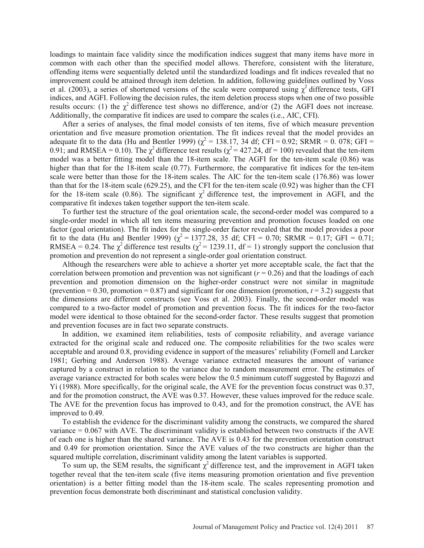loadings to maintain face validity since the modification indices suggest that many items have more in common with each other than the specified model allows. Therefore, consistent with the literature, offending items were sequentially deleted until the standardized loadings and fit indices revealed that no improvement could be attained through item deletion. In addition, following guidelines outlined by Voss et al. (2003), a series of shortened versions of the scale were compared using  $\chi^2$  difference tests, GFI indices, and AGFI. Following the decision rules, the item deletion process stops when one of two possible results occurs: (1) the  $\chi^2$  difference test shows no difference, and/or (2) the AGFI does not increase. Additionally, the comparative fit indices are used to compare the scales (i.e., AIC, CFI).

 After a series of analyses, the final model consists of ten items, five of which measure prevention orientation and five measure promotion orientation. The fit indices reveal that the model provides an adequate fit to the data (Hu and Bentler 1999) ( $\chi^2$  = 138.17, 34 df; CFI = 0.92; SRMR = 0.078; GFI = 0.91; and RMSEA = 0.10). The  $\chi^2$  difference test results ( $\chi^2$  = 427.24, df = 100) revealed that the ten-item model was a better fitting model than the 18-item scale. The AGFI for the ten-item scale (0.86) was higher than that for the 18-item scale (0.77). Furthermore, the comparative fit indices for the ten-item scale were better than those for the 18-item scales. The AIC for the ten-item scale (176.86) was lower than that for the 18-item scale (629.25), and the CFI for the ten-item scale (0.92) was higher than the CFI for the 18-item scale (0.86). The significant  $\chi^2$  difference test, the improvement in AGFI, and the comparative fit indexes taken together support the ten-item scale.

 To further test the structure of the goal orientation scale, the second-order model was compared to a single-order model in which all ten items measuring prevention and promotion focuses loaded on one factor (goal orientation). The fit index for the single-order factor revealed that the model provides a poor fit to the data (Hu and Bentler 1999) ( $\chi^2 = 1377.28$ , 35 df; CFI = 0.70; SRMR = 0.17; GFI = 0.71; RMSEA = 0.24. The  $\chi^2$  difference test results ( $\chi^2$  = 1239.11, df = 1) strongly support the conclusion that promotion and prevention do not represent a single-order goal orientation construct.

 Although the researchers were able to achieve a shorter yet more acceptable scale, the fact that the correlation between promotion and prevention was not significant  $(r = 0.26)$  and that the loadings of each prevention and promotion dimension on the higher-order construct were not similar in magnitude (prevention  $= 0.30$ , promotion  $= 0.87$ ) and significant for one dimension (promotion,  $t = 3.2$ ) suggests that the dimensions are different constructs (see Voss et al. 2003). Finally, the second-order model was compared to a two-factor model of promotion and prevention focus. The fit indices for the two-factor model were identical to those obtained for the second-order factor. These results suggest that promotion and prevention focuses are in fact two separate constructs.

 In addition, we examined item reliabilities, tests of composite reliability, and average variance extracted for the original scale and reduced one. The composite reliabilities for the two scales were acceptable and around 0.8, providing evidence in support of the measures' reliability (Fornell and Larcker 1981; Gerbing and Anderson 1988). Average variance extracted measures the amount of variance captured by a construct in relation to the variance due to random measurement error. The estimates of average variance extracted for both scales were below the 0.5 minimum cutoff suggested by Bagozzi and Yi (1988). More specifically, for the original scale, the AVE for the prevention focus construct was 0.37, and for the promotion construct, the AVE was 0.37. However, these values improved for the reduce scale. The AVE for the prevention focus has improved to 0.43, and for the promotion construct, the AVE has improved to 0.49.

 To establish the evidence for the discriminant validity among the constructs, we compared the shared variance = 0.067 with AVE. The discriminant validity is established between two constructs if the AVE of each one is higher than the shared variance. The AVE is 0.43 for the prevention orientation construct and 0.49 for promotion orientation. Since the AVE values of the two constructs are higher than the squared multiple correlation, discriminant validity among the latent variables is supported.

To sum up, the SEM results, the significant  $\chi^2$  difference test, and the improvement in AGFI taken together reveal that the ten-item scale (five items measuring promotion orientation and five prevention orientation) is a better fitting model than the 18-item scale. The scales representing promotion and prevention focus demonstrate both discriminant and statistical conclusion validity.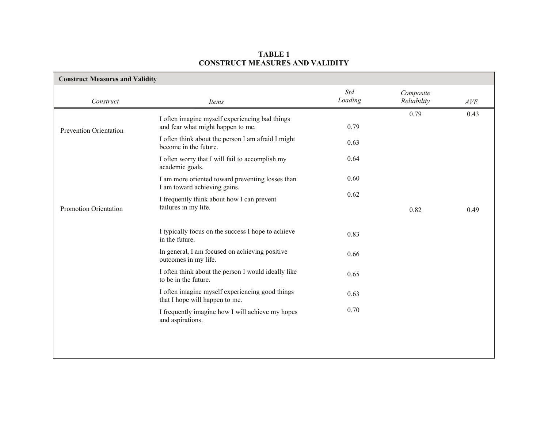# **TABLE 1 CONSTRUCT MEASURES AND VALIDITY**

| <b>Construct Measures and Validity</b> |                                                                                     |                |                          |      |
|----------------------------------------|-------------------------------------------------------------------------------------|----------------|--------------------------|------|
| Construct                              | Items                                                                               | Std<br>Loading | Composite<br>Reliability | AVE  |
| Prevention Orientation                 | I often imagine myself experiencing bad things<br>and fear what might happen to me. | 0.79           | 0.79                     | 0.43 |
|                                        | I often think about the person I am afraid I might<br>become in the future.         | 0.63           |                          |      |
|                                        | I often worry that I will fail to accomplish my<br>academic goals.                  | 0.64           |                          |      |
|                                        | I am more oriented toward preventing losses than<br>I am toward achieving gains.    | 0.60           |                          |      |
| Promotion Orientation                  | I frequently think about how I can prevent<br>failures in my life.                  | 0.62           | 0.82                     | 0.49 |
|                                        | I typically focus on the success I hope to achieve<br>in the future.                | 0.83           |                          |      |
|                                        | In general, I am focused on achieving positive<br>outcomes in my life.              | 0.66           |                          |      |
|                                        | I often think about the person I would ideally like<br>to be in the future.         | 0.65           |                          |      |
|                                        | I often imagine myself experiencing good things<br>that I hope will happen to me.   | 0.63           |                          |      |
|                                        | I frequently imagine how I will achieve my hopes<br>and aspirations.                | 0.70           |                          |      |
|                                        |                                                                                     |                |                          |      |
|                                        |                                                                                     |                |                          |      |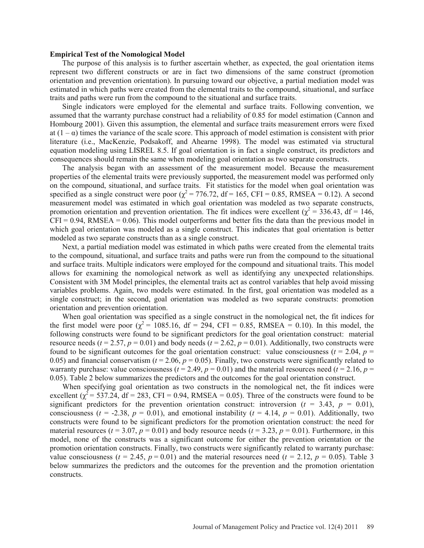#### **Empirical Test of the Nomological Model**

 The purpose of this analysis is to further ascertain whether, as expected, the goal orientation items represent two different constructs or are in fact two dimensions of the same construct (promotion orientation and prevention orientation). In pursuing toward our objective, a partial mediation model was estimated in which paths were created from the elemental traits to the compound, situational, and surface traits and paths were run from the compound to the situational and surface traits.

 Single indicators were employed for the elemental and surface traits. Following convention, we assumed that the warranty purchase construct had a reliability of 0.85 for model estimation (Cannon and Hombourg 2001). Given this assumption, the elemental and surface traits measurement errors were fixed at  $(1 - \alpha)$  times the variance of the scale score. This approach of model estimation is consistent with prior literature (i.e., MacKenzie, Podsakoff, and Ahearne 1998). The model was estimated via structural equation modeling using LISREL 8.5. If goal orientation is in fact a single construct, its predictors and consequences should remain the same when modeling goal orientation as two separate constructs.

 The analysis began with an assessment of the measurement model. Because the measurement properties of the elemental traits were previously supported, the measurement model was performed only on the compound, situational, and surface traits. Fit statistics for the model when goal orientation was specified as a single construct were poor  $\chi^2$  = 776.72, df = 165, CFI = 0.85, RMSEA = 0.12). A second measurement model was estimated in which goal orientation was modeled as two separate constructs, promotion orientation and prevention orientation. The fit indices were excellent ( $\chi^2$  = 336.43, df = 146,  $CFI = 0.94$ , RMSEA = 0.06). This model outperforms and better fits the data than the previous model in which goal orientation was modeled as a single construct. This indicates that goal orientation is better modeled as two separate constructs than as a single construct.

 Next, a partial mediation model was estimated in which paths were created from the elemental traits to the compound, situational, and surface traits and paths were run from the compound to the situational and surface traits. Multiple indicators were employed for the compound and situational traits. This model allows for examining the nomological network as well as identifying any unexpected relationships. Consistent with 3M Model principles, the elemental traits act as control variables that help avoid missing variables problems. Again, two models were estimated. In the first, goal orientation was modeled as a single construct; in the second, goal orientation was modeled as two separate constructs: promotion orientation and prevention orientation.

 When goal orientation was specified as a single construct in the nomological net, the fit indices for the first model were poor  $\chi^2$  = 1085.16, df = 294, CFI = 0.85, RMSEA = 0.10). In this model, the following constructs were found to be significant predictors for the goal orientation construct: material resource needs ( $t = 2.57$ ,  $p = 0.01$ ) and body needs ( $t = 2.62$ ,  $p = 0.01$ ). Additionally, two constructs were found to be significant outcomes for the goal orientation construct: value consciousness ( $t = 2.04$ ,  $p =$ 0.05) and financial conservatism ( $t = 2.06$ ,  $p = 0.05$ ). Finally, two constructs were significantly related to warranty purchase: value consciousness ( $t = 2.49$ ,  $p = 0.01$ ) and the material resources need ( $t = 2.16$ ,  $p =$ 0.05). Table 2 below summarizes the predictors and the outcomes for the goal orientation construct.

 When specifying goal orientation as two constructs in the nomological net, the fit indices were excellent  $\chi^2$  = 537.24, df = 283, CFI = 0.94, RMSEA = 0.05). Three of the constructs were found to be significant predictors for the prevention orientation construct: introversion ( $t = 3.43$ ,  $p = 0.01$ ), consciousness ( $t = -2.38$ ,  $p = 0.01$ ), and emotional instability ( $t = 4.14$ ,  $p = 0.01$ ). Additionally, two constructs were found to be significant predictors for the promotion orientation construct: the need for material resources ( $t = 3.07$ ,  $p = 0.01$ ) and body resource needs ( $t = 3.23$ ,  $p = 0.01$ ). Furthermore, in this model, none of the constructs was a significant outcome for either the prevention orientation or the promotion orientation constructs. Finally, two constructs were significantly related to warranty purchase: value consciousness ( $t = 2.45$ ,  $p = 0.01$ ) and the material resources need ( $t = 2.12$ ,  $p = 0.05$ ). Table 3 below summarizes the predictors and the outcomes for the prevention and the promotion orientation constructs.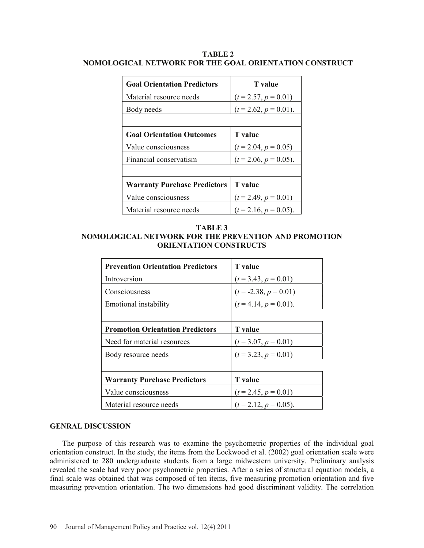| TABLE 2 |  |                                                        |  |  |  |  |
|---------|--|--------------------------------------------------------|--|--|--|--|
|         |  | NOMOLOGICAL NETWORK FOR THE GOAL ORIENTATION CONSTRUCT |  |  |  |  |

| <b>Goal Orientation Predictors</b>  | T value                  |  |
|-------------------------------------|--------------------------|--|
| Material resource needs             | $(t = 2.57, p = 0.01)$   |  |
| Body needs                          | $(t = 2.62, p = 0.01).$  |  |
|                                     |                          |  |
| <b>Goal Orientation Outcomes</b>    | <b>T</b> value           |  |
| Value consciousness                 | $(t = 2.04, p = 0.05)$   |  |
| Financial conservatism              | $(t = 2.06, p = 0.05)$ . |  |
|                                     |                          |  |
| <b>Warranty Purchase Predictors</b> | <b>T</b> value           |  |
| Value consciousness                 | $(t = 2.49, p = 0.01)$   |  |
| Material resource needs             | $(t = 2.16, p = 0.05)$ . |  |

**TABLE 3 NOMOLOGICAL NETWORK FOR THE PREVENTION AND PROMOTION ORIENTATION CONSTRUCTS** 

| <b>Prevention Orientation Predictors</b> | <b>T</b> value           |
|------------------------------------------|--------------------------|
| Introversion                             | $(t = 3.43, p = 0.01)$   |
| Consciousness                            | $(t = -2.38, p = 0.01)$  |
| Emotional instability                    | $(t = 4.14, p = 0.01).$  |
|                                          |                          |
| <b>Promotion Orientation Predictors</b>  | <b>T</b> value           |
| Need for material resources              | $(t = 3.07, p = 0.01)$   |
| Body resource needs                      | $(t = 3.23, p = 0.01)$   |
|                                          |                          |
| <b>Warranty Purchase Predictors</b>      | <b>T</b> value           |
| Value consciousness                      | $(t = 2.45, p = 0.01)$   |
| Material resource needs                  | $(t = 2.12, p = 0.05)$ . |

# **GENRAL DISCUSSION**

 The purpose of this research was to examine the psychometric properties of the individual goal orientation construct. In the study, the items from the Lockwood et al. (2002) goal orientation scale were administered to 280 undergraduate students from a large midwestern university. Preliminary analysis revealed the scale had very poor psychometric properties. After a series of structural equation models, a final scale was obtained that was composed of ten items, five measuring promotion orientation and five measuring prevention orientation. The two dimensions had good discriminant validity. The correlation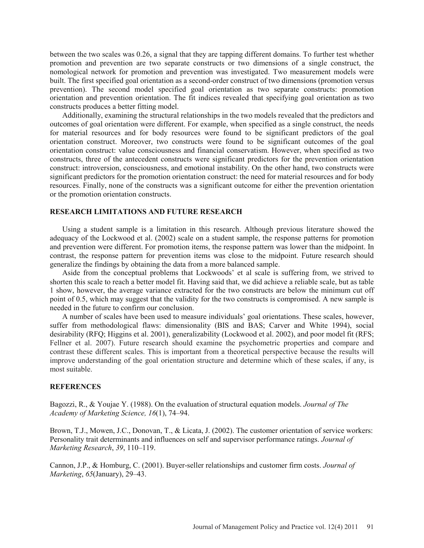between the two scales was 0.26, a signal that they are tapping different domains. To further test whether promotion and prevention are two separate constructs or two dimensions of a single construct, the nomological network for promotion and prevention was investigated. Two measurement models were built. The first specified goal orientation as a second-order construct of two dimensions (promotion versus prevention). The second model specified goal orientation as two separate constructs: promotion orientation and prevention orientation. The fit indices revealed that specifying goal orientation as two constructs produces a better fitting model.

 Additionally, examining the structural relationships in the two models revealed that the predictors and outcomes of goal orientation were different. For example, when specified as a single construct, the needs for material resources and for body resources were found to be significant predictors of the goal orientation construct. Moreover, two constructs were found to be significant outcomes of the goal orientation construct: value consciousness and financial conservatism. However, when specified as two constructs, three of the antecedent constructs were significant predictors for the prevention orientation construct: introversion, consciousness, and emotional instability. On the other hand, two constructs were significant predictors for the promotion orientation construct: the need for material resources and for body resources. Finally, none of the constructs was a significant outcome for either the prevention orientation or the promotion orientation constructs.

### **RESEARCH LIMITATIONS AND FUTURE RESEARCH**

 Using a student sample is a limitation in this research. Although previous literature showed the adequacy of the Lockwood et al. (2002) scale on a student sample, the response patterns for promotion and prevention were different. For promotion items, the response pattern was lower than the midpoint. In contrast, the response pattern for prevention items was close to the midpoint. Future research should generalize the findings by obtaining the data from a more balanced sample.

 Aside from the conceptual problems that Lockwoods' et al scale is suffering from, we strived to shorten this scale to reach a better model fit. Having said that, we did achieve a reliable scale, but as table 1 show, however, the average variance extracted for the two constructs are below the minimum cut off point of 0.5, which may suggest that the validity for the two constructs is compromised. A new sample is needed in the future to confirm our conclusion.

 A number of scales have been used to measure individuals' goal orientations. These scales, however, suffer from methodological flaws: dimensionality (BIS and BAS; Carver and White 1994), social desirability (RFQ; Higgins et al. 2001), generalizability (Lockwood et al. 2002), and poor model fit (RFS; Fellner et al. 2007). Future research should examine the psychometric properties and compare and contrast these different scales. This is important from a theoretical perspective because the results will improve understanding of the goal orientation structure and determine which of these scales, if any, is most suitable.

#### **REFERENCES**

Bagozzi, R., & Youjae Y. (1988). On the evaluation of structural equation models. *Journal of The Academy of Marketing Science, 16*(1), 74–94.

Brown, T.J., Mowen, J.C., Donovan, T., & Licata, J. (2002). The customer orientation of service workers: Personality trait determinants and influences on self and supervisor performance ratings. *Journal of Marketing Research*, *39*, 110–119.

Cannon, J.P., & Homburg, C. (2001). Buyer-seller relationships and customer firm costs. *Journal of Marketing*, *65*(January), 29–43.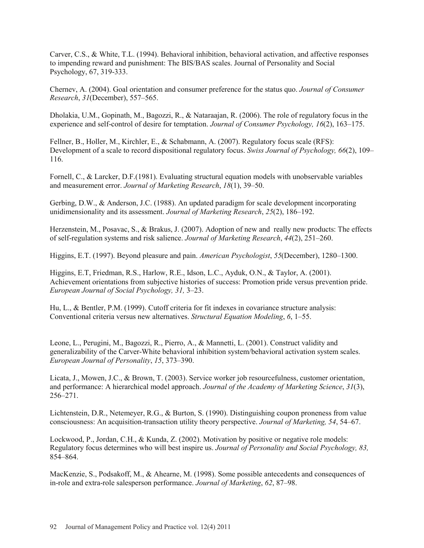Carver, C.S., & White, T.L. (1994). Behavioral inhibition, behavioral activation, and affective responses to impending reward and punishment: The BIS/BAS scales. Journal of Personality and Social Psychology, 67, 319-333.

Chernev, A. (2004). Goal orientation and consumer preference for the status quo. *Journal of Consumer Research*, *31*(December), 557–565.

Dholakia, U.M., Gopinath, M., Bagozzi, R., & Nataraajan, R. (2006). The role of regulatory focus in the experience and self-control of desire for temptation. *Journal of Consumer Psychology, 16*(2), 163–175.

Fellner, B., Holler, M., Kirchler, E., & Schabmann, A. (2007). Regulatory focus scale (RFS): Development of a scale to record dispositional regulatory focus. *Swiss Journal of Psychology, 66*(2), 109– 116.

Fornell, C., & Larcker, D.F.(1981). Evaluating structural equation models with unobservable variables and measurement error. *Journal of Marketing Research*, *18*(1), 39–50.

Gerbing, D.W., & Anderson, J.C. (1988). An updated paradigm for scale development incorporating unidimensionality and its assessment. *Journal of Marketing Research*, *25*(2), 186–192.

Herzenstein, M., Posavac, S., & Brakus, J. (2007). Adoption of new and really new products: The effects of self-regulation systems and risk salience. *Journal of Marketing Research*, *44*(2), 251–260.

Higgins, E.T. (1997). Beyond pleasure and pain. *American Psychologist*, *55*(December), 1280–1300.

Higgins, E.T, Friedman, R.S., Harlow, R.E., Idson, L.C., Ayduk, O.N., & Taylor, A. (2001). Achievement orientations from subjective histories of success: Promotion pride versus prevention pride. *European Journal of Social Psychology, 31,* 3–23.

Hu, L., & Bentler, P.M. (1999). Cutoff criteria for fit indexes in covariance structure analysis: Conventional criteria versus new alternatives. *Structural Equation Modeling*, *6*, 1–55.

Leone, L., Perugini, M., Bagozzi, R., Pierro, A., & Mannetti, L. (2001). Construct validity and generalizability of the Carver-White behavioral inhibition system/behavioral activation system scales. *European Journal of Personality*, *15*, 373–390.

Licata, J., Mowen, J.C., & Brown, T. (2003). Service worker job resourcefulness, customer orientation, and performance: A hierarchical model approach. *Journal of the Academy of Marketing Science*, *31*(3), 256–271.

Lichtenstein, D.R., Netemeyer, R.G., & Burton, S. (1990). Distinguishing coupon proneness from value consciousness: An acquisition-transaction utility theory perspective. *Journal of Marketing, 54*, 54–67.

Lockwood, P., Jordan, C.H., & Kunda, Z. (2002). Motivation by positive or negative role models: Regulatory focus determines who will best inspire us. *Journal of Personality and Social Psychology, 83,*  854–864.

MacKenzie, S., Podsakoff, M., & Ahearne, M. (1998). Some possible antecedents and consequences of in-role and extra-role salesperson performance. *Journal of Marketing*, *62*, 87–98.